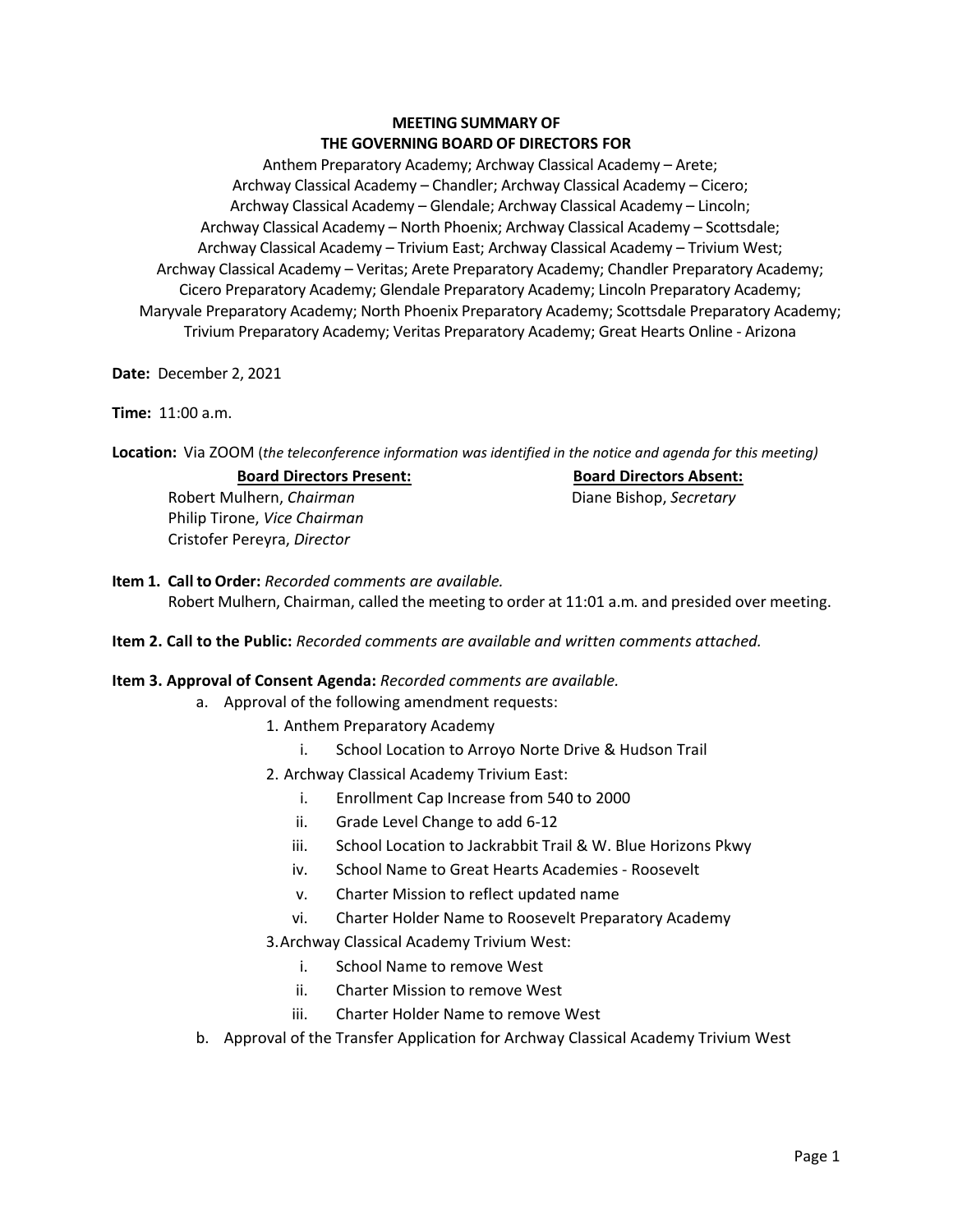# **MEETING SUMMARY OF THE GOVERNING BOARD OF DIRECTORS FOR**

 Anthem Preparatory Academy; Archway Classical Academy – Arete; Archway Classical Academy – Chandler; Archway Classical Academy – Cicero; Archway Classical Academy – Glendale; Archway Classical Academy – Lincoln; Archway Classical Academy – North Phoenix; Archway Classical Academy – Scottsdale; Archway Classical Academy – Trivium East; Archway Classical Academy – Trivium West; Trivium Preparatory Academy; Veritas Preparatory Academy; Great Hearts Online - Arizona Archway Classical Academy – Veritas; Arete Preparatory Academy; Chandler Preparatory Academy; Cicero Preparatory Academy; Glendale Preparatory Academy; Lincoln Preparatory Academy; Maryvale Preparatory Academy; North Phoenix Preparatory Academy; Scottsdale Preparatory Academy;

**Date:** December 2, 2021

**Time:** 11:00 a.m.

 **Location:** Via ZOOM (*the teleconference information was identified in the notice and agenda for this meeting)* 

## **Board Directors Present:**

 Robert Mulhern, *Chairman*  Philip Tirone, *Vice Chairman* Cristofer Pereyra, *Director* 

#### **Board Directors Absent:**  Diane Bishop, *Secretary*

 **Item 1. Call to Order:** *Recorded comments are available.*  Robert Mulhern, Chairman, called the meeting to order at 11:01 a.m. and presided over meeting.

**Item 2. Call to the Public:** *Recorded comments are available and written comments attached.* 

## **Item 3. Approval of Consent Agenda:** *Recorded comments are available.*

- a. Approval of the following amendment requests:
	- 1. Anthem Preparatory Academy
		- i. School Location to Arroyo Norte Drive & Hudson Trail
	- 2. Archway Classical Academy Trivium East:
		- i. Enrollment Cap Increase from 540 to 2000
		- ii. Grade Level Change to add 6-12
		- iii. School Location to Jackrabbit Trail & W. Blue Horizons Pkwy
		- iv. School Name to Great Hearts Academies Roosevelt
		- v. Charter Mission to reflect updated name
		- vi. Charter Holder Name to Roosevelt Preparatory Academy
	- 3.Archway Classical Academy Trivium West:
		- i. School Name to remove West
		- ii. Charter Mission to remove West
		- iii. Charter Holder Name to remove West
- b. Approval of the Transfer Application for Archway Classical Academy Trivium West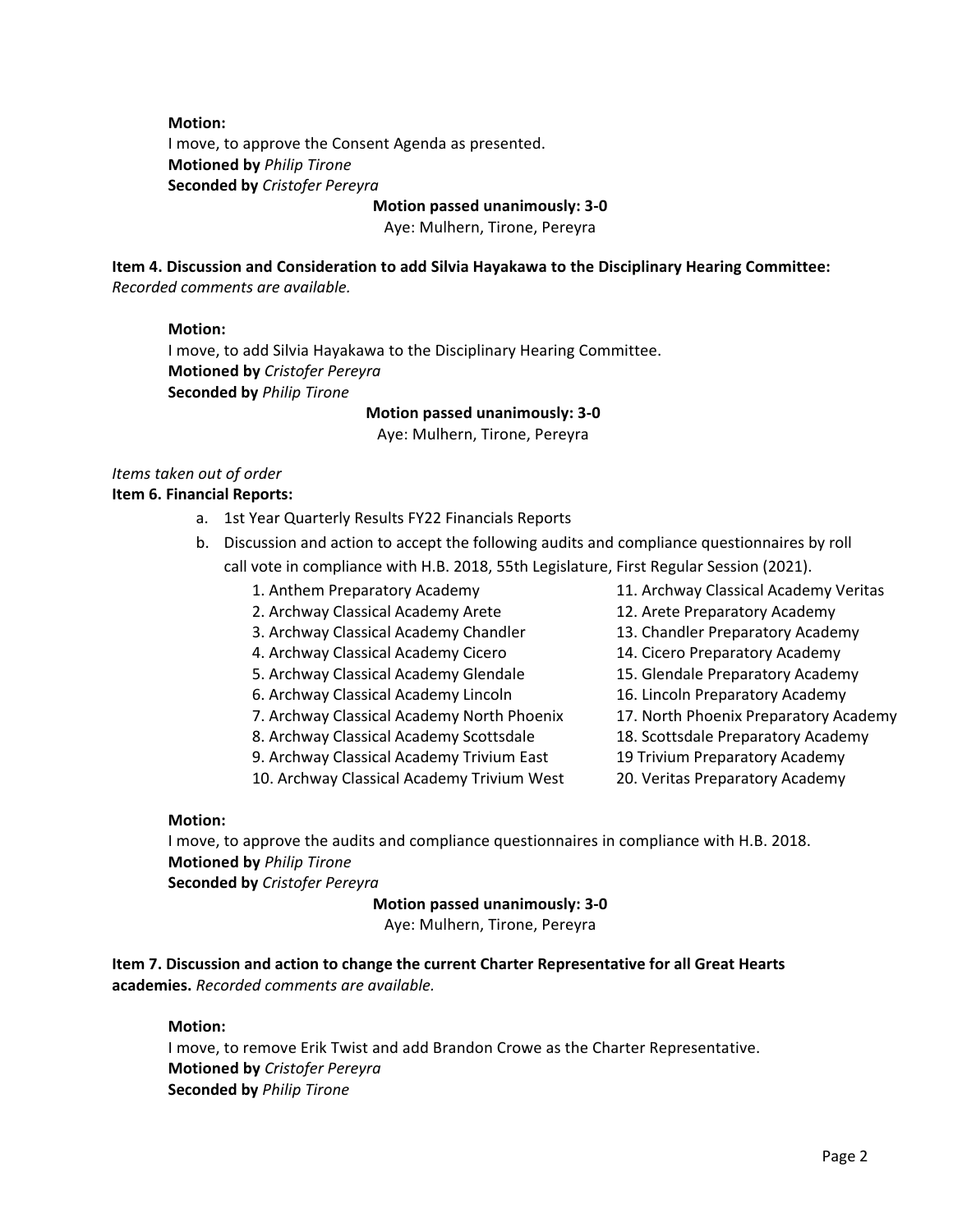### **Motion:**

 I move, to approve the Consent Agenda as presented. **Motioned by** *Philip Tirone*  **Seconded by** *Cristofer Pereyra* 

**Motion passed unanimously: 3-0** 

Aye: Mulhern, Tirone, Pereyra

 **Item 4. Discussion and Consideration to add Silvia Hayakawa to the Disciplinary Hearing Committee:**  *Recorded comments are available.* 

#### **Motion:**

 I move, to add Silvia Hayakawa to the Disciplinary Hearing Committee. **Motioned by** *Cristofer Pereyra*  **Seconded by** *Philip Tirone* 

**Motion passed unanimously: 3-0** 

Aye: Mulhern, Tirone, Pereyra

#### *Items taken out of order*  **Item 6. Financial Reports:**

- a. 1st Year Quarterly Results FY22 Financials Reports
- call vote in compliance with H.B. 2018, 55th Legislature, First Regular Session (2021). b. Discussion and action to accept the following audits and compliance questionnaires by roll
	-
	- 2. Archway Classical Academy Arete 12. Arete Preparatory Academy
	- 3. Archway Classical Academy Chandler 13. Chandler Preparatory Academy
	- 4. Archway Classical Academy Cicero 14. Cicero Preparatory Academy
	- 5. Archway Classical Academy Glendale 15. Glendale Preparatory Academy
	- 6. Archway Classical Academy Lincoln 16. Lincoln Preparatory Academy
	- 7. Archway Classical Academy North Phoenix 17. North Phoenix Preparatory Academy
	- 8. Archway Classical Academy Scottsdale 18. Scottsdale Preparatory Academy
	- 9. Archway Classical Academy Trivium East 19 Trivium Preparatory Academy
	- 10. Archway Classical Academy Trivium West 20. Veritas Preparatory Academy
- 1. Anthem Preparatory Academy 11. Archway Classical Academy Veritas
	- -
		-
		-
		-
		-
		-
		-
		-

### **Motion:**

 I move, to approve the audits and compliance questionnaires in compliance with H.B. 2018. **Motioned by** *Philip Tirone* 

**Seconded by** *Cristofer Pereyra* 

**Motion passed unanimously: 3-0** 

Aye: Mulhern, Tirone, Pereyra

 **Item 7. Discussion and action to change the current Charter Representative for all Great Hearts academies.** *Recorded comments are available.* 

#### **Motion:**

 I move, to remove Erik Twist and add Brandon Crowe as the Charter Representative. **Motioned by** *Cristofer Pereyra*  **Seconded by** *Philip Tirone*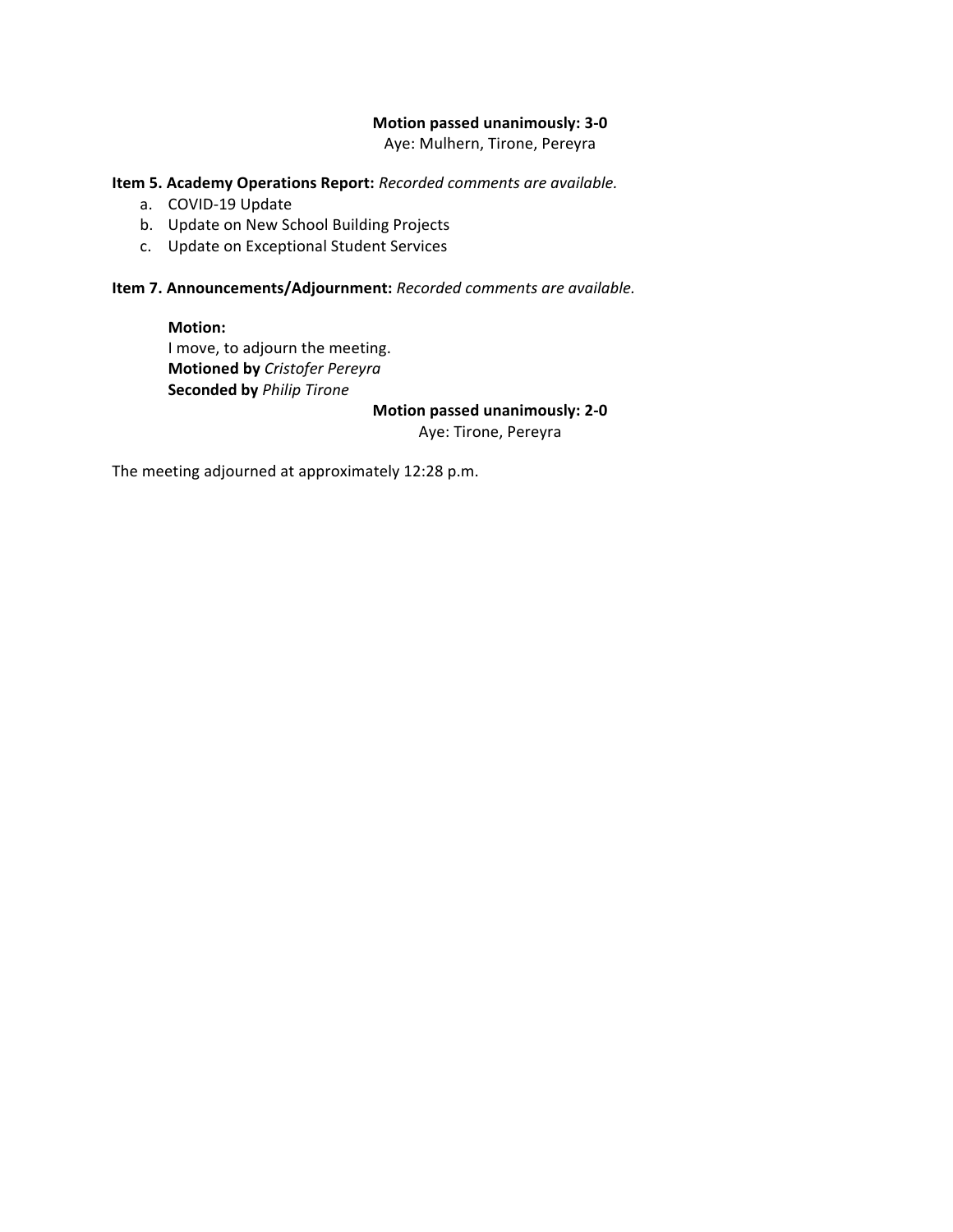### **Motion passed unanimously: 3-0**

Aye: Mulhern, Tirone, Pereyra

### **Item 5. Academy Operations Report:** *Recorded comments are available.*

- a. COVID-19 Update
- b. Update on New School Building Projects
- c. Update on Exceptional Student Services

**Item 7. Announcements/Adjournment:** *Recorded comments are available.* 

**Motion:**  I move, to adjourn the meeting. **Motioned by** *Cristofer Pereyra*  **Seconded by** *Philip Tirone* 

### **Motion passed unanimously: 2-0**

Aye: Tirone, Pereyra

The meeting adjourned at approximately 12:28 p.m.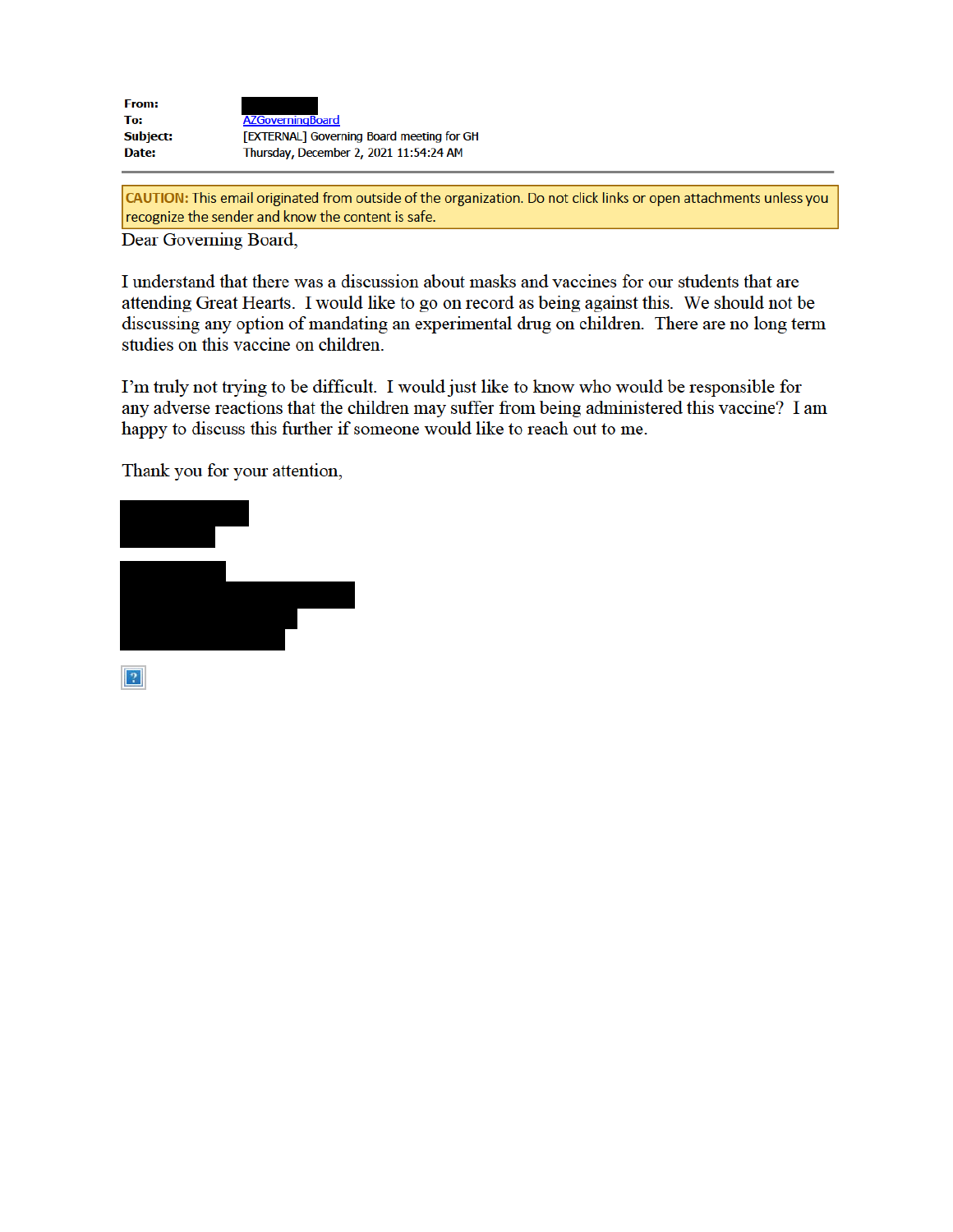| <b>From:</b>    |                                           |
|-----------------|-------------------------------------------|
| To:             | <b>AZGoverningBoard</b>                   |
| <b>Subject:</b> | [EXTERNAL] Governing Board meeting for GH |
| Date:           | Thursday, December 2, 2021 11:54:24 AM    |

CAUTION: This email originated from outside of the organization. Do not click links or open attachments unless you recognize the sender and know the content is safe.

Dear Governing Board,

I understand that there was a discussion about masks and vaccines for our students that are attending Great Hearts. I would like to go on record as being against this. We should not be discussing any option of mandating an experimental drug on children. There are no long term studies on this vaccine on children.

I'm truly not trying to be difficult. I would just like to know who would be responsible for any adverse reactions that the children may suffer from being administered this vaccine? I am happy to discuss this further if someone would like to reach out to me.

Thank you for your attention,

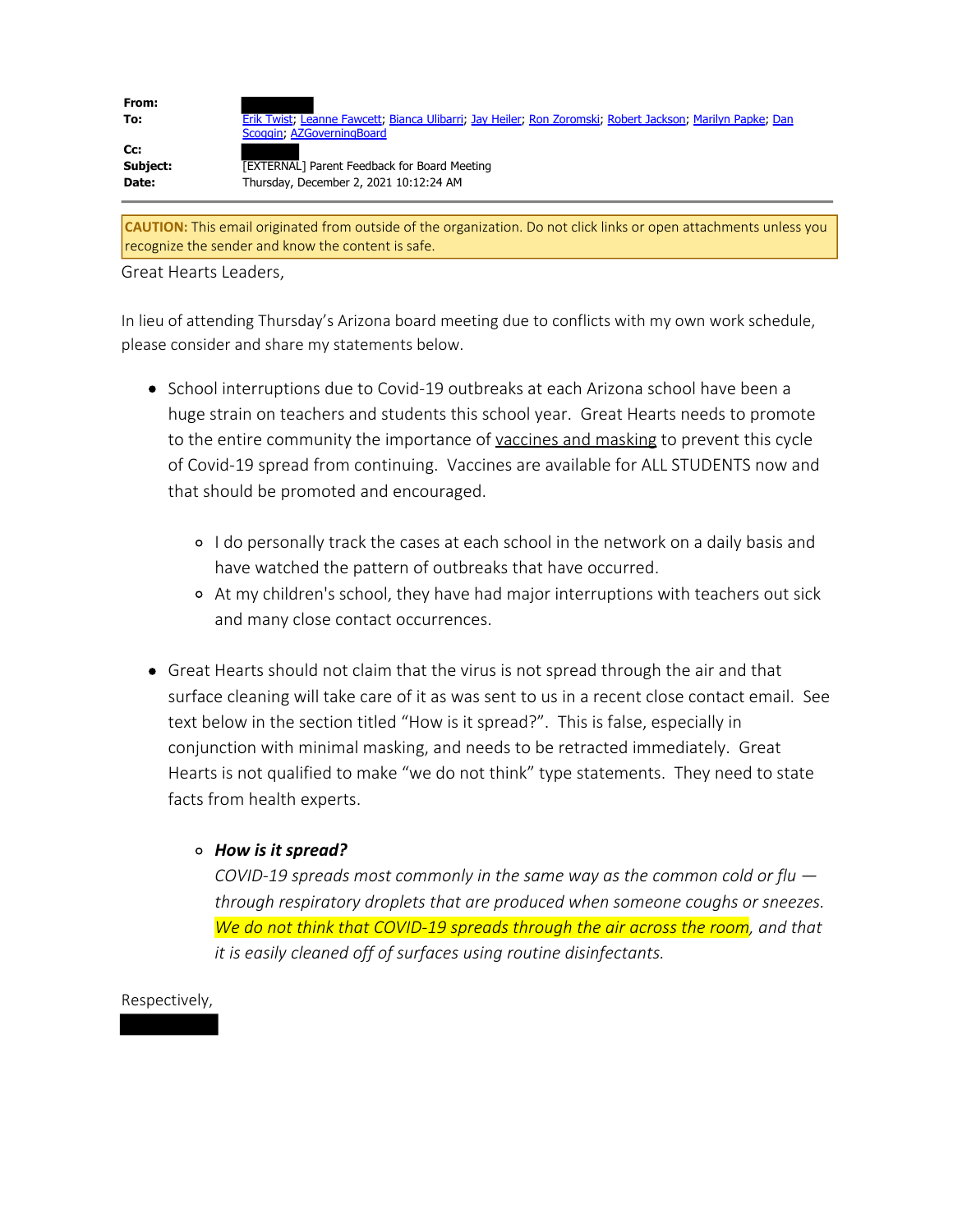| From:<br>To:             | Erik Twist; Leanne Fawcett; Bianca Ulibarri; Jay Heiler; Ron Zoromski; Robert Jackson; Marilyn Papke; Dan<br>Scoggin, AZGoverningBoard |
|--------------------------|----------------------------------------------------------------------------------------------------------------------------------------|
| Cc:<br>Subject:<br>Date: | <b>TEXTERNAL</b> ] Parent Feedback for Board Meeting<br>Thursday, December 2, 2021 10:12:24 AM                                         |
|                          |                                                                                                                                        |

**CAUTION:** This email originated from outside of the organization. Do not click links or open attachments unless you recognize the sender and know the content is safe.

Great Hearts Leaders,

In lieu of attending Thursday's Arizona board meeting due to conflicts with my own work schedule, please consider and share my statements below.

- School interruptions due to Covid-19 outbreaks at each Arizona school have been a huge strain on teachers and students this school year. Great Hearts needs to promote to the entire community the importance of vaccines and masking to prevent this cycle of Covid-19 spread from continuing. Vaccines are available for ALL STUDENTS now and that should be promoted and encouraged.
	- I do personally track the cases at each school in the network on a daily basis and have watched the pattern of outbreaks that have occurred.
	- At my children's school, they have had major interruptions with teachers out sick and many close contact occurrences.
- Great Hearts should not claim that the virus is not spread through the air and that surface cleaning will take care of it as was sent to us in a recent close contact email. See text below in the section titled "How is it spread?". This is false, especially in conjunction with minimal masking, and needs to be retracted immediately. Great Hearts is not qualified to make "we do not think" type statements. They need to state facts from health experts.

# *How is it spread?*

*COVID-19 spreads most commonly in the same way as the common cold or flu through respiratory droplets that are produced when someone coughs or sneezes. We do not think that COVID-19 spreads through the air across the room, and that it is easily cleaned off of surfaces using routine disinfectants.* 

# Respectively,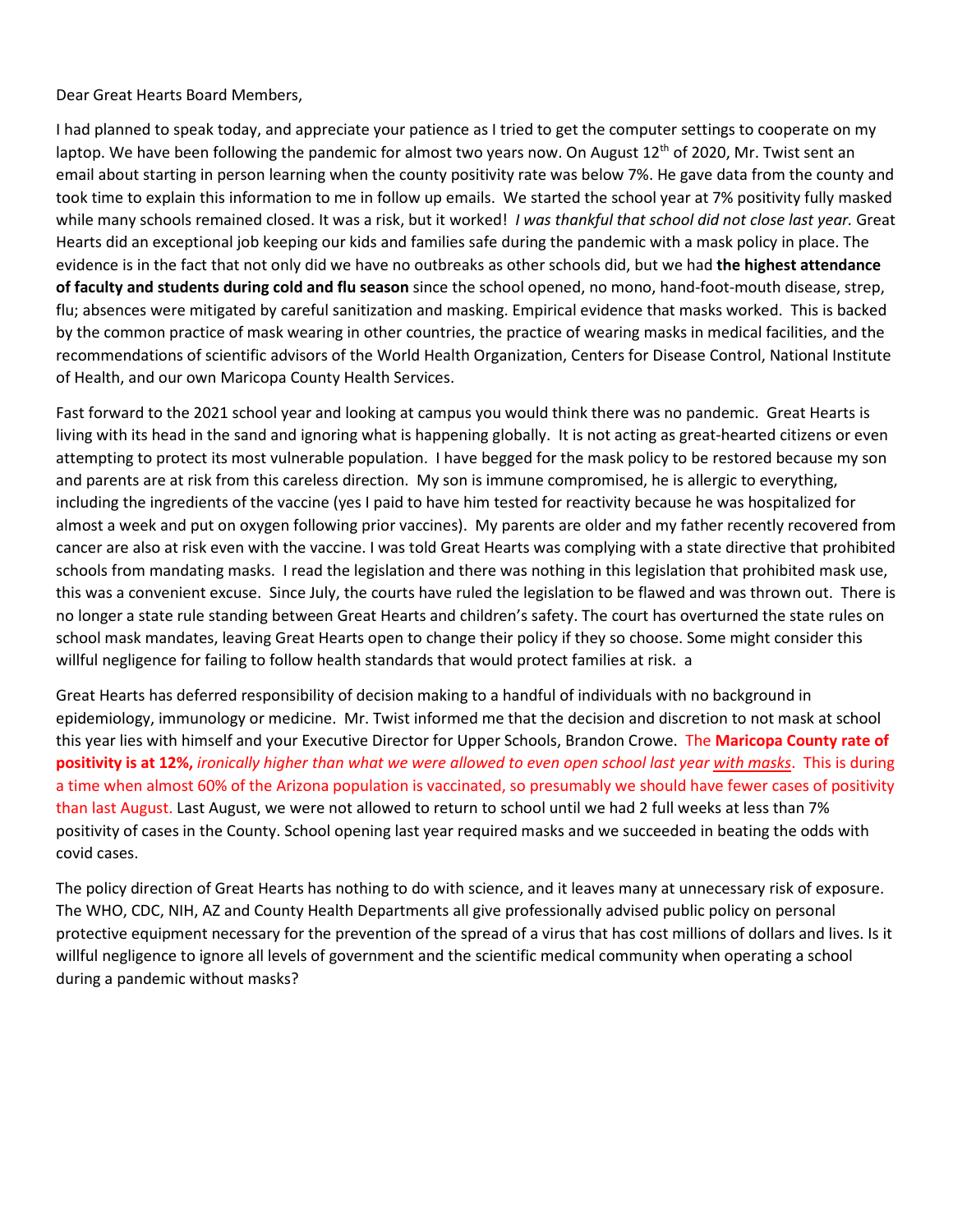Dear Great Hearts Board Members,

I had planned to speak today, and appreciate your patience as I tried to get the computer settings to cooperate on my laptop. We have been following the pandemic for almost two years now. On August  $12^{th}$  of 2020, Mr. Twist sent an email about starting in person learning when the county positivity rate was below 7%. He gave data from the county and took time to explain this information to me in follow up emails. We started the school year at 7% positivity fully masked while many schools remained closed. It was a risk, but it worked! *I was thankful that school did not close last year.* Great Hearts did an exceptional job keeping our kids and families safe during the pandemic with a mask policy in place. The evidence is in the fact that not only did we have no outbreaks as other schools did, but we had **the highest attendance of faculty and students during cold and flu season** since the school opened, no mono, hand-foot-mouth disease, strep, flu; absences were mitigated by careful sanitization and masking. Empirical evidence that masks worked. This is backed by the common practice of mask wearing in other countries, the practice of wearing masks in medical facilities, and the recommendations of scientific advisors of the World Health Organization, Centers for Disease Control, National Institute of Health, and our own Maricopa County Health Services.

Fast forward to the 2021 school year and looking at campus you would think there was no pandemic. Great Hearts is living with its head in the sand and ignoring what is happening globally. It is not acting as great-hearted citizens or even attempting to protect its most vulnerable population. I have begged for the mask policy to be restored because my son and parents are at risk from this careless direction. My son is immune compromised, he is allergic to everything, including the ingredients of the vaccine (yes I paid to have him tested for reactivity because he was hospitalized for almost a week and put on oxygen following prior vaccines). My parents are older and my father recently recovered from cancer are also at risk even with the vaccine. I was told Great Hearts was complying with a state directive that prohibited schools from mandating masks. I read the legislation and there was nothing in this legislation that prohibited mask use, this was a convenient excuse. Since July, the courts have ruled the legislation to be flawed and was thrown out. There is no longer a state rule standing between Great Hearts and children's safety. The court has overturned the state rules on school mask mandates, leaving Great Hearts open to change their policy if they so choose. Some might consider this willful negligence for failing to follow health standards that would protect families at risk. a

Great Hearts has deferred responsibility of decision making to a handful of individuals with no background in epidemiology, immunology or medicine. Mr. Twist informed me that the decision and discretion to not mask at school this year lies with himself and your Executive Director for Upper Schools, Brandon Crowe. The **Maricopa County rate of positivity is at 12%,** *ironically higher than what we were allowed to even open school last year with masks*. This is during a time when almost 60% of the Arizona population is vaccinated, so presumably we should have fewer cases of positivity than last August. Last August, we were not allowed to return to school until we had 2 full weeks at less than 7% positivity of cases in the County. School opening last year required masks and we succeeded in beating the odds with covid cases.

The policy direction of Great Hearts has nothing to do with science, and it leaves many at unnecessary risk of exposure. The WHO, CDC, NIH, AZ and County Health Departments all give professionally advised public policy on personal protective equipment necessary for the prevention of the spread of a virus that has cost millions of dollars and lives. Is it willful negligence to ignore all levels of government and the scientific medical community when operating a school during a pandemic without masks?